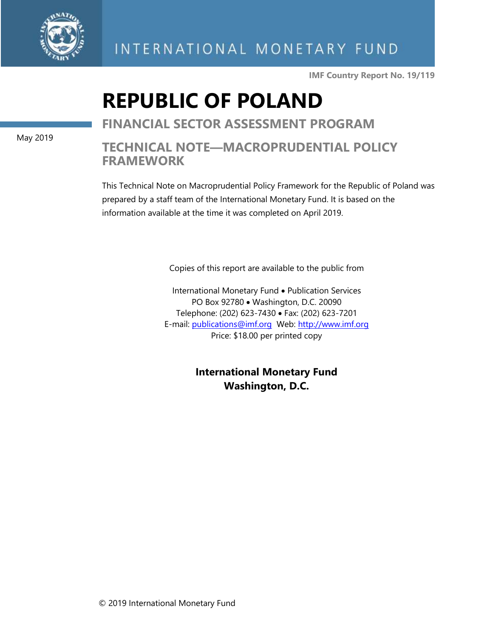

INTERNATIONAL MONETARY FUND

**IMF Country Report No. 19/119**

## **REPUBLIC OF POLAND**

**FINANCIAL SECTOR ASSESSMENT PROGRAM**

### **TECHNICAL NOTE—MACROPRUDENTIAL POLICY FRAMEWORK**

This Technical Note on Macroprudential Policy Framework for the Republic of Poland was prepared by a staff team of the International Monetary Fund. It is based on the information available at the time it was completed on April 2019.

Copies of this report are available to the public from

International Monetary Fund • Publication Services PO Box 92780 • Washington, D.C. 20090 Telephone: (202) 623-7430 • Fax: (202) 623-7201 E-mail: [publications@imf.org](mailto:publications@imf.org) Web: [http://www.imf.org](http://0-www-imf-org.library.svsu.edu/) Price: \$18.00 per printed copy

> **International Monetary Fund Washington, D.C.**

May 2019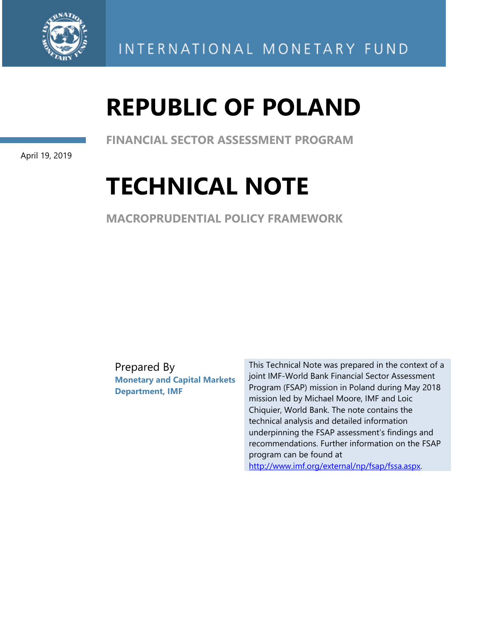

# **REPUBLIC OF POLAND**

**FINANCIAL SECTOR ASSESSMENT PROGRAM** 

April 19, 2019

## **TECHNICAL NOTE**

**MACROPRUDENTIAL POLICY FRAMEWORK** 

Prepared By **Monetary and Capital Markets Department, IMF** 

This Technical Note was prepared in the context of a joint IMF-World Bank Financial Sector Assessment Program (FSAP) mission in Poland during May 2018 mission led by Michael Moore, IMF and Loic Chiquier, World Bank. The note contains the technical analysis and detailed information underpinning the FSAP assessment's findings and recommendations. Further information on the FSAP program can be found at http://www.imf.org/external/np/fsap/fssa.aspx.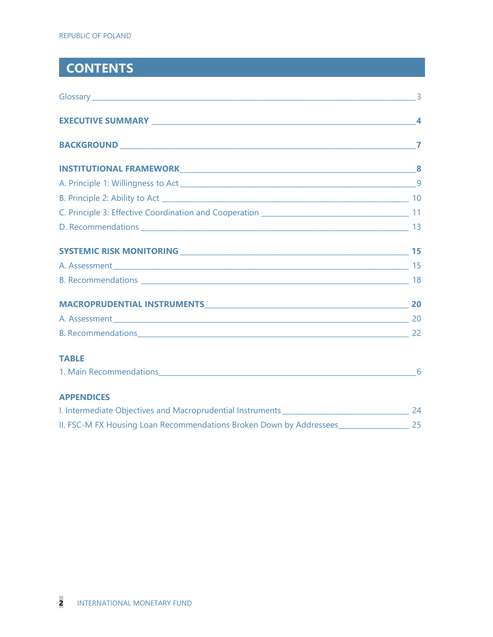## **CONTENTS**

| <b>TABLE</b>                                                        |    |
|---------------------------------------------------------------------|----|
|                                                                     | 6  |
| <b>APPENDICES</b>                                                   |    |
|                                                                     |    |
| II. FSC-M FX Housing Loan Recommendations Broken Down by Addressees | 25 |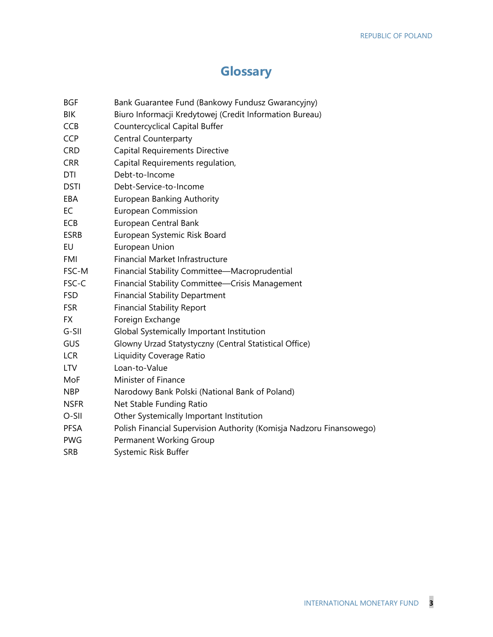### **Glossary**

- BGF Bank Guarantee Fund (Bankowy Fundusz Gwarancyjny)
- BIK Biuro Informacji Kredytowej (Credit Information Bureau)
- CCB Countercyclical Capital Buffer
- CCP Central Counterparty
- CRD Capital Requirements Directive
- CRR Capital Requirements regulation,
- DTI Debt-to-Income
- DSTI Debt-Service-to-Income
- EBA European Banking Authority
- EC European Commission
- ECB European Central Bank
- ESRB European Systemic Risk Board
- EU European Union
- FMI Financial Market Infrastructure
- FSC-M Financial Stability Committee—Macroprudential
- FSC-C Financial Stability Committee—Crisis Management
- FSD Financial Stability Department
- FSR Financial Stability Report
- FX Foreign Exchange
- G-SII Global Systemically Important Institution
- GUS Glowny Urzad Statystyczny (Central Statistical Office)
- LCR Liquidity Coverage Ratio
- LTV Loan-to-Value
- MoF Minister of Finance
- NBP Narodowy Bank Polski (National Bank of Poland)
- NSFR Net Stable Funding Ratio
- O-SII Other Systemically Important Institution
- PFSA Polish Financial Supervision Authority (Komisja Nadzoru Finansowego)
- PWG Permanent Working Group
- SRB Systemic Risk Buffer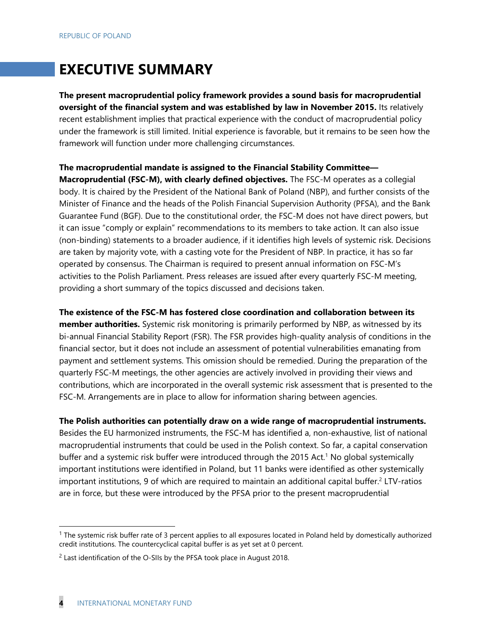## **EXECUTIVE SUMMARY**

**The present macroprudential policy framework provides a sound basis for macroprudential oversight of the financial system and was established by law in November 2015.** Its relatively recent establishment implies that practical experience with the conduct of macroprudential policy under the framework is still limited. Initial experience is favorable, but it remains to be seen how the framework will function under more challenging circumstances.

#### **The macroprudential mandate is assigned to the Financial Stability Committee—**

**Macroprudential (FSC-M), with clearly defined objectives.** The FSC-M operates as a collegial body. It is chaired by the President of the National Bank of Poland (NBP), and further consists of the Minister of Finance and the heads of the Polish Financial Supervision Authority (PFSA), and the Bank Guarantee Fund (BGF). Due to the constitutional order, the FSC-M does not have direct powers, but it can issue "comply or explain" recommendations to its members to take action. It can also issue (non-binding) statements to a broader audience, if it identifies high levels of systemic risk. Decisions are taken by majority vote, with a casting vote for the President of NBP. In practice, it has so far operated by consensus. The Chairman is required to present annual information on FSC-M's activities to the Polish Parliament. Press releases are issued after every quarterly FSC-M meeting, providing a short summary of the topics discussed and decisions taken.

**The existence of the FSC-M has fostered close coordination and collaboration between its member authorities.** Systemic risk monitoring is primarily performed by NBP, as witnessed by its bi-annual Financial Stability Report (FSR). The FSR provides high-quality analysis of conditions in the financial sector, but it does not include an assessment of potential vulnerabilities emanating from payment and settlement systems. This omission should be remedied. During the preparation of the quarterly FSC-M meetings, the other agencies are actively involved in providing their views and contributions, which are incorporated in the overall systemic risk assessment that is presented to the FSC-M. Arrangements are in place to allow for information sharing between agencies.

**The Polish authorities can potentially draw on a wide range of macroprudential instruments.** 

Besides the EU harmonized instruments, the FSC-M has identified a, non-exhaustive, list of national macroprudential instruments that could be used in the Polish context. So far, a capital conservation buffer and a systemic risk buffer were introduced through the 2015 Act.<sup>1</sup> No global systemically important institutions were identified in Poland, but 11 banks were identified as other systemically important institutions, 9 of which are required to maintain an additional capital buffer.<sup>2</sup> LTV-ratios are in force, but these were introduced by the PFSA prior to the present macroprudential

 $1$  The systemic risk buffer rate of 3 percent applies to all exposures located in Poland held by domestically authorized credit institutions. The countercyclical capital buffer is as yet set at 0 percent.

<sup>&</sup>lt;sup>2</sup> Last identification of the O-SIIs by the PFSA took place in August 2018.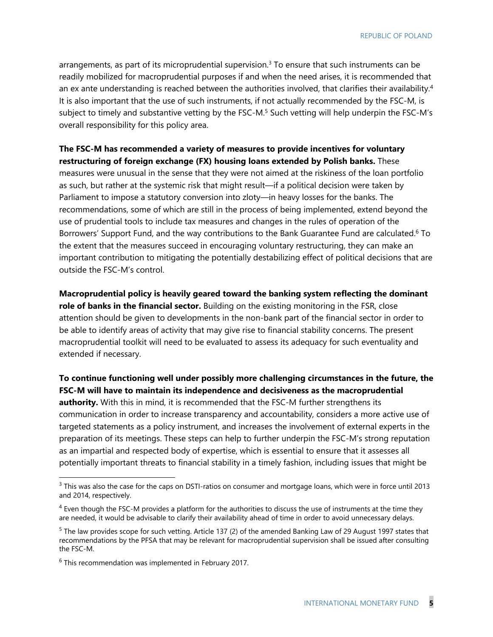arrangements, as part of its microprudential supervision. $3$  To ensure that such instruments can be readily mobilized for macroprudential purposes if and when the need arises, it is recommended that an ex ante understanding is reached between the authorities involved, that clarifies their availability.<sup>4</sup> It is also important that the use of such instruments, if not actually recommended by the FSC-M, is subject to timely and substantive vetting by the FSC-M.<sup>5</sup> Such vetting will help underpin the FSC-M's overall responsibility for this policy area.

#### **The FSC-M has recommended a variety of measures to provide incentives for voluntary restructuring of foreign exchange (FX) housing loans extended by Polish banks.** These measures were unusual in the sense that they were not aimed at the riskiness of the loan portfolio as such, but rather at the systemic risk that might result—if a political decision were taken by Parliament to impose a statutory conversion into zloty—in heavy losses for the banks. The recommendations, some of which are still in the process of being implemented, extend beyond the use of prudential tools to include tax measures and changes in the rules of operation of the Borrowers' Support Fund, and the way contributions to the Bank Guarantee Fund are calculated.<sup>6</sup> To the extent that the measures succeed in encouraging voluntary restructuring, they can make an important contribution to mitigating the potentially destabilizing effect of political decisions that are outside the FSC-M's control.

**Macroprudential policy is heavily geared toward the banking system reflecting the dominant role of banks in the financial sector.** Building on the existing monitoring in the FSR, close attention should be given to developments in the non-bank part of the financial sector in order to be able to identify areas of activity that may give rise to financial stability concerns. The present macroprudential toolkit will need to be evaluated to assess its adequacy for such eventuality and extended if necessary.

#### **To continue functioning well under possibly more challenging circumstances in the future, the FSC-M will have to maintain its independence and decisiveness as the macroprudential**

**authority.** With this in mind, it is recommended that the FSC-M further strengthens its communication in order to increase transparency and accountability, considers a more active use of targeted statements as a policy instrument, and increases the involvement of external experts in the preparation of its meetings. These steps can help to further underpin the FSC-M's strong reputation as an impartial and respected body of expertise, which is essential to ensure that it assesses all potentially important threats to financial stability in a timely fashion, including issues that might be

<sup>&</sup>lt;sup>3</sup> This was also the case for the caps on DSTI-ratios on consumer and mortgage loans, which were in force until 2013 and 2014, respectively.

 $<sup>4</sup>$  Even though the FSC-M provides a platform for the authorities to discuss the use of instruments at the time they</sup> are needed, it would be advisable to clarify their availability ahead of time in order to avoid unnecessary delays.

<sup>&</sup>lt;sup>5</sup> The law provides scope for such vetting. Article 137 (2) of the amended Banking Law of 29 August 1997 states that recommendations by the PFSA that may be relevant for macroprudential supervision shall be issued after consulting the FSC-M.

 $6$  This recommendation was implemented in February 2017.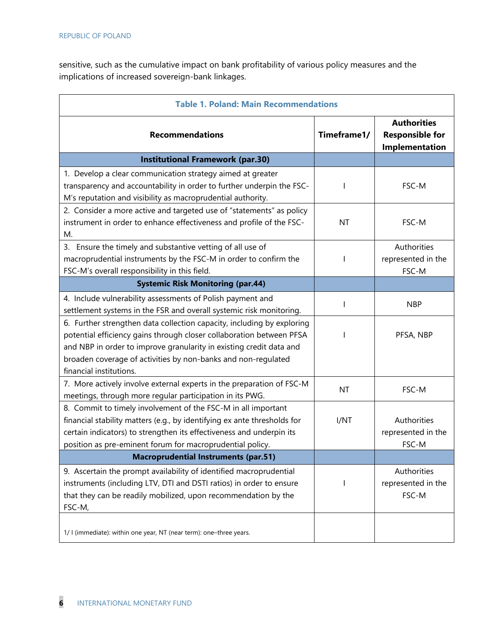sensitive, such as the cumulative impact on bank profitability of various policy measures and the implications of increased sovereign-bank linkages.

| <b>Table 1. Poland: Main Recommendations</b>                                                                                                                                                                                                                                                                      |             |                                                                |
|-------------------------------------------------------------------------------------------------------------------------------------------------------------------------------------------------------------------------------------------------------------------------------------------------------------------|-------------|----------------------------------------------------------------|
| <b>Recommendations</b>                                                                                                                                                                                                                                                                                            | Timeframe1/ | <b>Authorities</b><br><b>Responsible for</b><br>Implementation |
| <b>Institutional Framework (par.30)</b>                                                                                                                                                                                                                                                                           |             |                                                                |
| 1. Develop a clear communication strategy aimed at greater<br>transparency and accountability in order to further underpin the FSC-<br>M's reputation and visibility as macroprudential authority.                                                                                                                | I           | FSC-M                                                          |
| 2. Consider a more active and targeted use of "statements" as policy<br>instrument in order to enhance effectiveness and profile of the FSC-<br>М.                                                                                                                                                                | <b>NT</b>   | FSC-M                                                          |
| 3. Ensure the timely and substantive vetting of all use of<br>macroprudential instruments by the FSC-M in order to confirm the<br>FSC-M's overall responsibility in this field.                                                                                                                                   |             | Authorities<br>represented in the<br>FSC-M                     |
| <b>Systemic Risk Monitoring (par.44)</b>                                                                                                                                                                                                                                                                          |             |                                                                |
| 4. Include vulnerability assessments of Polish payment and<br>settlement systems in the FSR and overall systemic risk monitoring.                                                                                                                                                                                 | I           | <b>NBP</b>                                                     |
| 6. Further strengthen data collection capacity, including by exploring<br>potential efficiency gains through closer collaboration between PFSA<br>and NBP in order to improve granularity in existing credit data and<br>broaden coverage of activities by non-banks and non-regulated<br>financial institutions. |             | PFSA, NBP                                                      |
| 7. More actively involve external experts in the preparation of FSC-M<br>meetings, through more regular participation in its PWG.                                                                                                                                                                                 | NT          | FSC-M                                                          |
| 8. Commit to timely involvement of the FSC-M in all important<br>financial stability matters (e.g., by identifying ex ante thresholds for<br>certain indicators) to strengthen its effectiveness and underpin its<br>position as pre-eminent forum for macroprudential policy.                                    | I/NT        | Authorities<br>represented in the<br>FSC-M                     |
| <b>Macroprudential Instruments (par.51)</b>                                                                                                                                                                                                                                                                       |             |                                                                |
| 9. Ascertain the prompt availability of identified macroprudential<br>instruments (including LTV, DTI and DSTI ratios) in order to ensure<br>that they can be readily mobilized, upon recommendation by the<br>FSC-M,                                                                                             |             | Authorities<br>represented in the<br>FSC-M                     |
| 1/ I (immediate): within one year, NT (near term): one-three years.                                                                                                                                                                                                                                               |             |                                                                |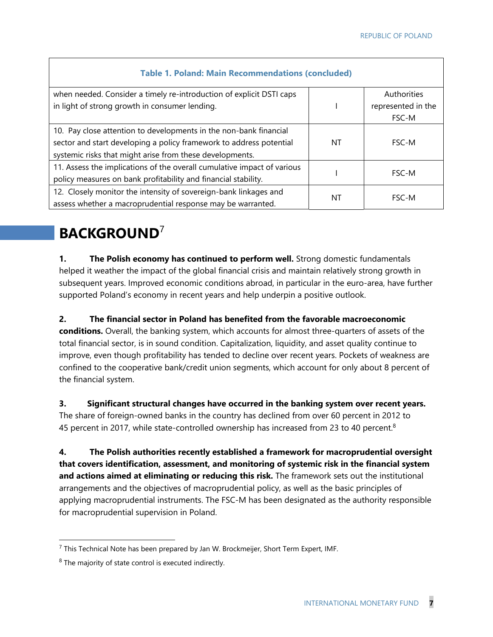| <b>Table 1. Poland: Main Recommendations (concluded)</b>                                                                                                                                             |    |                                            |
|------------------------------------------------------------------------------------------------------------------------------------------------------------------------------------------------------|----|--------------------------------------------|
| when needed. Consider a timely re-introduction of explicit DSTI caps<br>in light of strong growth in consumer lending.                                                                               |    | Authorities<br>represented in the<br>FSC-M |
| 10. Pay close attention to developments in the non-bank financial<br>sector and start developing a policy framework to address potential<br>systemic risks that might arise from these developments. | ΝT | FSC-M                                      |
| 11. Assess the implications of the overall cumulative impact of various<br>policy measures on bank profitability and financial stability.                                                            |    | <b>FSC-M</b>                               |
| 12. Closely monitor the intensity of sovereign-bank linkages and<br>NT<br>assess whether a macroprudential response may be warranted.                                                                |    | FSC-M                                      |

## **BACKGROUND**<sup>7</sup>

**1. The Polish economy has continued to perform well.** Strong domestic fundamentals helped it weather the impact of the global financial crisis and maintain relatively strong growth in subsequent years. Improved economic conditions abroad, in particular in the euro-area, have further supported Poland's economy in recent years and help underpin a positive outlook.

**2. The financial sector in Poland has benefited from the favorable macroeconomic conditions.** Overall, the banking system, which accounts for almost three-quarters of assets of the total financial sector, is in sound condition. Capitalization, liquidity, and asset quality continue to improve, even though profitability has tended to decline over recent years. Pockets of weakness are confined to the cooperative bank/credit union segments, which account for only about 8 percent of the financial system.

**3. Significant structural changes have occurred in the banking system over recent years.**  The share of foreign-owned banks in the country has declined from over 60 percent in 2012 to 45 percent in 2017, while state-controlled ownership has increased from 23 to 40 percent.<sup>8</sup>

**4. The Polish authorities recently established a framework for macroprudential oversight that covers identification, assessment, and monitoring of systemic risk in the financial system and actions aimed at eliminating or reducing this risk.** The framework sets out the institutional arrangements and the objectives of macroprudential policy, as well as the basic principles of applying macroprudential instruments. The FSC-M has been designated as the authority responsible for macroprudential supervision in Poland.

<sup>&</sup>lt;sup>7</sup> This Technical Note has been prepared by Jan W. Brockmeijer, Short Term Expert, IMF.

<sup>&</sup>lt;sup>8</sup> The majority of state control is executed indirectly.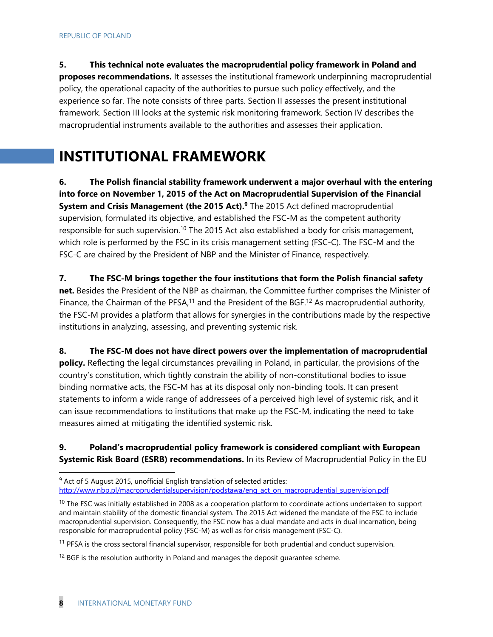**5. This technical note evaluates the macroprudential policy framework in Poland and proposes recommendations.** It assesses the institutional framework underpinning macroprudential policy, the operational capacity of the authorities to pursue such policy effectively, and the experience so far. The note consists of three parts. Section II assesses the present institutional framework. Section III looks at the systemic risk monitoring framework. Section IV describes the macroprudential instruments available to the authorities and assesses their application.

## **INSTITUTIONAL FRAMEWORK**

**6. The Polish financial stability framework underwent a major overhaul with the entering into force on November 1, 2015 of the Act on Macroprudential Supervision of the Financial System and Crisis Management (the 2015 Act).9** The 2015 Act defined macroprudential supervision, formulated its objective, and established the FSC-M as the competent authority responsible for such supervision.<sup>10</sup> The 2015 Act also established a body for crisis management, which role is performed by the FSC in its crisis management setting (FSC-C). The FSC-M and the FSC-C are chaired by the President of NBP and the Minister of Finance, respectively.

**7. The FSC-M brings together the four institutions that form the Polish financial safety net.** Besides the President of the NBP as chairman, the Committee further comprises the Minister of Finance, the Chairman of the PFSA,<sup>11</sup> and the President of the BGF.<sup>12</sup> As macroprudential authority, the FSC-M provides a platform that allows for synergies in the contributions made by the respective institutions in analyzing, assessing, and preventing systemic risk.

**8. The FSC-M does not have direct powers over the implementation of macroprudential policy.** Reflecting the legal circumstances prevailing in Poland, in particular, the provisions of the country's constitution, which tightly constrain the ability of non-constitutional bodies to issue binding normative acts, the FSC-M has at its disposal only non-binding tools. It can present statements to inform a wide range of addressees of a perceived high level of systemic risk, and it can issue recommendations to institutions that make up the FSC-M, indicating the need to take measures aimed at mitigating the identified systemic risk.

#### **9. Poland's macroprudential policy framework is considered compliant with European Systemic Risk Board (ESRB) recommendations.** In its Review of Macroprudential Policy in the EU

 $9$  Act of 5 August 2015, unofficial English translation of selected articles: http://www.nbp.pl/macroprudentialsupervision/podstawa/eng\_act\_on\_macroprudential\_supervision.pdf

 $10$  The FSC was initially established in 2008 as a cooperation platform to coordinate actions undertaken to support and maintain stability of the domestic financial system. The 2015 Act widened the mandate of the FSC to include macroprudential supervision. Consequently, the FSC now has a dual mandate and acts in dual incarnation, being responsible for macroprudential policy (FSC-M) as well as for crisis management (FSC-C).

<sup>&</sup>lt;sup>11</sup> PFSA is the cross sectoral financial supervisor, responsible for both prudential and conduct supervision.

 $12$  BGF is the resolution authority in Poland and manages the deposit guarantee scheme.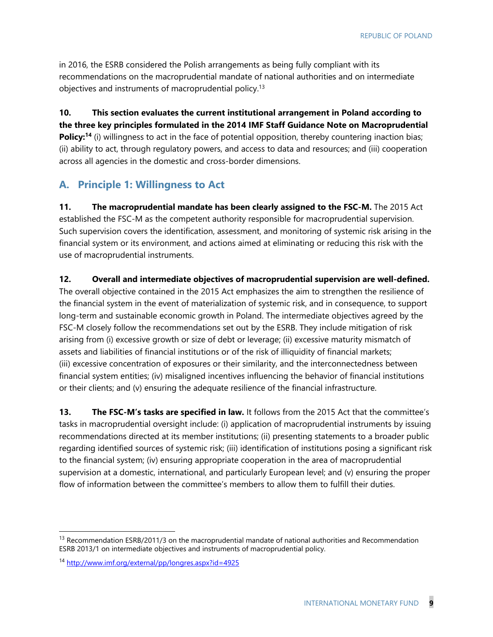in 2016, the ESRB considered the Polish arrangements as being fully compliant with its recommendations on the macroprudential mandate of national authorities and on intermediate objectives and instruments of macroprudential policy.<sup>13</sup>

**10. This section evaluates the current institutional arrangement in Poland according to the three key principles formulated in the 2014 IMF Staff Guidance Note on Macroprudential Policy:<sup>14</sup>** (i) willingness to act in the face of potential opposition, thereby countering inaction bias; (ii) ability to act, through regulatory powers, and access to data and resources; and (iii) cooperation across all agencies in the domestic and cross-border dimensions.

#### **A. Principle 1: Willingness to Act**

**11. The macroprudential mandate has been clearly assigned to the FSC-M.** The 2015 Act established the FSC-M as the competent authority responsible for macroprudential supervision. Such supervision covers the identification, assessment, and monitoring of systemic risk arising in the financial system or its environment, and actions aimed at eliminating or reducing this risk with the use of macroprudential instruments.

**12. Overall and intermediate objectives of macroprudential supervision are well-defined.** 

The overall objective contained in the 2015 Act emphasizes the aim to strengthen the resilience of the financial system in the event of materialization of systemic risk, and in consequence, to support long-term and sustainable economic growth in Poland. The intermediate objectives agreed by the FSC-M closely follow the recommendations set out by the ESRB. They include mitigation of risk arising from (i) excessive growth or size of debt or leverage; (ii) excessive maturity mismatch of assets and liabilities of financial institutions or of the risk of illiquidity of financial markets; (iii) excessive concentration of exposures or their similarity, and the interconnectedness between financial system entities; (iv) misaligned incentives influencing the behavior of financial institutions or their clients; and (v) ensuring the adequate resilience of the financial infrastructure.

**13. The FSC-M's tasks are specified in law.** It follows from the 2015 Act that the committee's tasks in macroprudential oversight include: (i) application of macroprudential instruments by issuing recommendations directed at its member institutions; (ii) presenting statements to a broader public regarding identified sources of systemic risk; (iii) identification of institutions posing a significant risk to the financial system; (iv) ensuring appropriate cooperation in the area of macroprudential supervision at a domestic, international, and particularly European level; and (v) ensuring the proper flow of information between the committee's members to allow them to fulfill their duties.

<sup>&</sup>lt;sup>13</sup> Recommendation ESRB/2011/3 on the macroprudential mandate of national authorities and Recommendation ESRB 2013/1 on intermediate objectives and instruments of macroprudential policy.

<sup>14</sup> http://www.imf.org/external/pp/longres.aspx?id=4925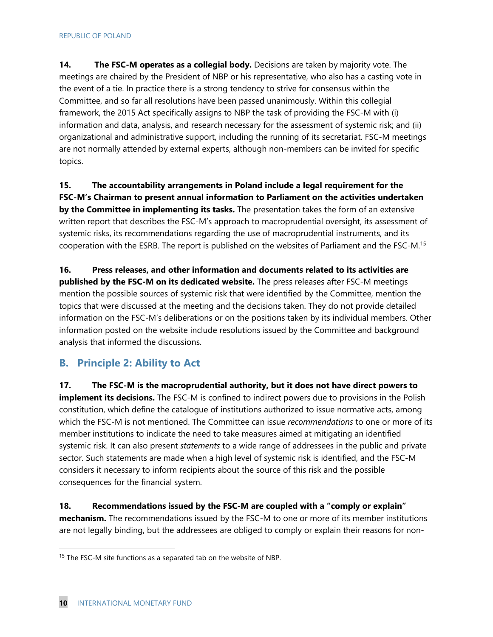**14.** The FSC-M operates as a collegial body. Decisions are taken by majority vote. The meetings are chaired by the President of NBP or his representative, who also has a casting vote in the event of a tie. In practice there is a strong tendency to strive for consensus within the Committee, and so far all resolutions have been passed unanimously. Within this collegial framework, the 2015 Act specifically assigns to NBP the task of providing the FSC-M with (i) information and data, analysis, and research necessary for the assessment of systemic risk; and (ii) organizational and administrative support, including the running of its secretariat. FSC-M meetings are not normally attended by external experts, although non-members can be invited for specific topics.

**15. The accountability arrangements in Poland include a legal requirement for the FSC-M's Chairman to present annual information to Parliament on the activities undertaken by the Committee in implementing its tasks.** The presentation takes the form of an extensive written report that describes the FSC-M's approach to macroprudential oversight, its assessment of systemic risks, its recommendations regarding the use of macroprudential instruments, and its cooperation with the ESRB. The report is published on the websites of Parliament and the FSC-M.15

**16. Press releases, and other information and documents related to its activities are published by the FSC-M on its dedicated website.** The press releases after FSC-M meetings mention the possible sources of systemic risk that were identified by the Committee, mention the topics that were discussed at the meeting and the decisions taken. They do not provide detailed information on the FSC-M's deliberations or on the positions taken by its individual members. Other information posted on the website include resolutions issued by the Committee and background analysis that informed the discussions.

#### **B. Principle 2: Ability to Act**

**17. The FSC-M is the macroprudential authority, but it does not have direct powers to implement its decisions.** The FSC-M is confined to indirect powers due to provisions in the Polish constitution, which define the catalogue of institutions authorized to issue normative acts, among which the FSC-M is not mentioned. The Committee can issue *recommendations* to one or more of its member institutions to indicate the need to take measures aimed at mitigating an identified systemic risk. It can also present *statements* to a wide range of addressees in the public and private sector. Such statements are made when a high level of systemic risk is identified, and the FSC-M considers it necessary to inform recipients about the source of this risk and the possible consequences for the financial system.

**18. Recommendations issued by the FSC-M are coupled with a "comply or explain" mechanism.** The recommendations issued by the FSC-M to one or more of its member institutions are not legally binding, but the addressees are obliged to comply or explain their reasons for non-

<sup>&</sup>lt;sup>15</sup> The FSC-M site functions as a separated tab on the website of NBP.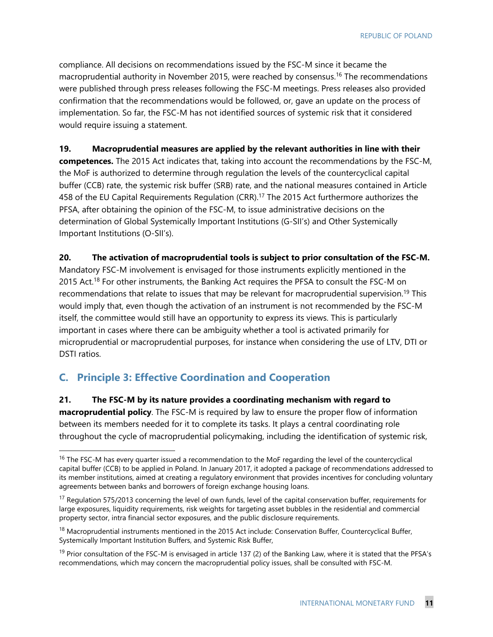compliance. All decisions on recommendations issued by the FSC-M since it became the macroprudential authority in November 2015, were reached by consensus.<sup>16</sup> The recommendations were published through press releases following the FSC-M meetings. Press releases also provided confirmation that the recommendations would be followed, or, gave an update on the process of implementation. So far, the FSC-M has not identified sources of systemic risk that it considered would require issuing a statement.

#### **19. Macroprudential measures are applied by the relevant authorities in line with their**

**competences.** The 2015 Act indicates that, taking into account the recommendations by the FSC-M, the MoF is authorized to determine through regulation the levels of the countercyclical capital buffer (CCB) rate, the systemic risk buffer (SRB) rate, and the national measures contained in Article 458 of the EU Capital Requirements Regulation (CRR).<sup>17</sup> The 2015 Act furthermore authorizes the PFSA, after obtaining the opinion of the FSC-M, to issue administrative decisions on the determination of Global Systemically Important Institutions (G-SII's) and Other Systemically Important Institutions (O-SII's).

#### **20. The activation of macroprudential tools is subject to prior consultation of the FSC-M.**

Mandatory FSC-M involvement is envisaged for those instruments explicitly mentioned in the 2015 Act.<sup>18</sup> For other instruments, the Banking Act requires the PFSA to consult the FSC-M on recommendations that relate to issues that may be relevant for macroprudential supervision.<sup>19</sup> This would imply that, even though the activation of an instrument is not recommended by the FSC-M itself, the committee would still have an opportunity to express its views. This is particularly important in cases where there can be ambiguity whether a tool is activated primarily for microprudential or macroprudential purposes, for instance when considering the use of LTV, DTI or DSTI ratios.

#### **C. Principle 3: Effective Coordination and Cooperation**

-

**21. The FSC-M by its nature provides a coordinating mechanism with regard to macroprudential policy**. The FSC-M is required by law to ensure the proper flow of information between its members needed for it to complete its tasks. It plays a central coordinating role throughout the cycle of macroprudential policymaking, including the identification of systemic risk,

<sup>&</sup>lt;sup>16</sup> The FSC-M has every quarter issued a recommendation to the MoF regarding the level of the countercyclical capital buffer (CCB) to be applied in Poland. In January 2017, it adopted a package of recommendations addressed to its member institutions, aimed at creating a regulatory environment that provides incentives for concluding voluntary agreements between banks and borrowers of foreign exchange housing loans.

<sup>&</sup>lt;sup>17</sup> Regulation 575/2013 concerning the level of own funds, level of the capital conservation buffer, requirements for large exposures, liquidity requirements, risk weights for targeting asset bubbles in the residential and commercial property sector, intra financial sector exposures, and the public disclosure requirements.

<sup>&</sup>lt;sup>18</sup> Macroprudential instruments mentioned in the 2015 Act include: Conservation Buffer, Countercyclical Buffer, Systemically Important Institution Buffers, and Systemic Risk Buffer,

<sup>&</sup>lt;sup>19</sup> Prior consultation of the FSC-M is envisaged in article 137 (2) of the Banking Law, where it is stated that the PFSA's recommendations, which may concern the macroprudential policy issues, shall be consulted with FSC-M.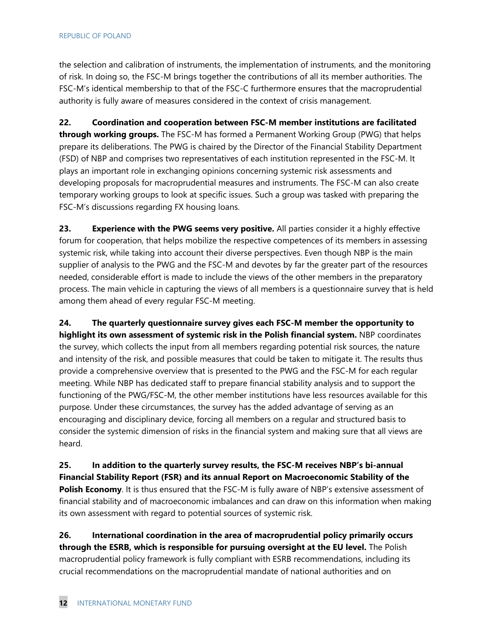the selection and calibration of instruments, the implementation of instruments, and the monitoring of risk. In doing so, the FSC-M brings together the contributions of all its member authorities. The FSC-M's identical membership to that of the FSC-C furthermore ensures that the macroprudential authority is fully aware of measures considered in the context of crisis management.

**22. Coordination and cooperation between FSC-M member institutions are facilitated through working groups.** The FSC-M has formed a Permanent Working Group (PWG) that helps prepare its deliberations. The PWG is chaired by the Director of the Financial Stability Department (FSD) of NBP and comprises two representatives of each institution represented in the FSC-M. It plays an important role in exchanging opinions concerning systemic risk assessments and developing proposals for macroprudential measures and instruments. The FSC-M can also create temporary working groups to look at specific issues. Such a group was tasked with preparing the FSC-M's discussions regarding FX housing loans.

**23. Experience with the PWG seems very positive.** All parties consider it a highly effective forum for cooperation, that helps mobilize the respective competences of its members in assessing systemic risk, while taking into account their diverse perspectives. Even though NBP is the main supplier of analysis to the PWG and the FSC-M and devotes by far the greater part of the resources needed, considerable effort is made to include the views of the other members in the preparatory process. The main vehicle in capturing the views of all members is a questionnaire survey that is held among them ahead of every regular FSC-M meeting.

**24. The quarterly questionnaire survey gives each FSC-M member the opportunity to highlight its own assessment of systemic risk in the Polish financial system.** NBP coordinates the survey, which collects the input from all members regarding potential risk sources, the nature and intensity of the risk, and possible measures that could be taken to mitigate it. The results thus provide a comprehensive overview that is presented to the PWG and the FSC-M for each regular meeting. While NBP has dedicated staff to prepare financial stability analysis and to support the functioning of the PWG/FSC-M, the other member institutions have less resources available for this purpose. Under these circumstances, the survey has the added advantage of serving as an encouraging and disciplinary device, forcing all members on a regular and structured basis to consider the systemic dimension of risks in the financial system and making sure that all views are heard.

**25. In addition to the quarterly survey results, the FSC-M receives NBP's bi-annual Financial Stability Report (FSR) and its annual Report on Macroeconomic Stability of the Polish Economy**. It is thus ensured that the FSC-M is fully aware of NBP's extensive assessment of financial stability and of macroeconomic imbalances and can draw on this information when making its own assessment with regard to potential sources of systemic risk.

**26. International coordination in the area of macroprudential policy primarily occurs through the ESRB, which is responsible for pursuing oversight at the EU level.** The Polish macroprudential policy framework is fully compliant with ESRB recommendations, including its crucial recommendations on the macroprudential mandate of national authorities and on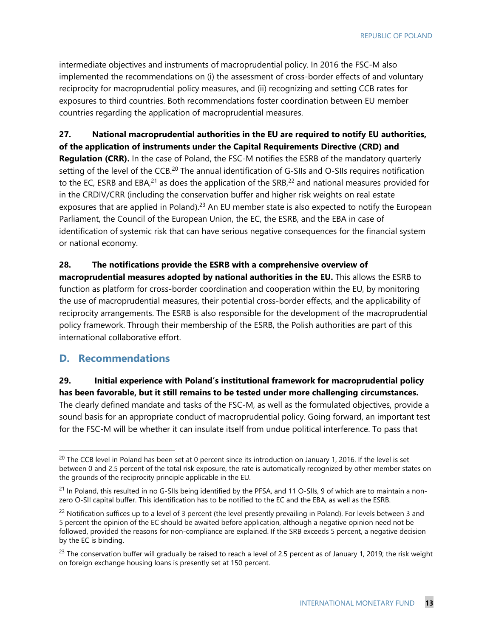intermediate objectives and instruments of macroprudential policy. In 2016 the FSC-M also implemented the recommendations on (i) the assessment of cross-border effects of and voluntary reciprocity for macroprudential policy measures, and (ii) recognizing and setting CCB rates for exposures to third countries. Both recommendations foster coordination between EU member countries regarding the application of macroprudential measures.

#### **27. National macroprudential authorities in the EU are required to notify EU authorities, of the application of instruments under the Capital Requirements Directive (CRD) and**

**Regulation (CRR).** In the case of Poland, the FSC-M notifies the ESRB of the mandatory quarterly setting of the level of the CCB.<sup>20</sup> The annual identification of G-SIIs and O-SIIs requires notification to the EC, ESRB and EBA, $21$  as does the application of the SRB, $22$  and national measures provided for in the CRDIV/CRR (including the conservation buffer and higher risk weights on real estate exposures that are applied in Poland).<sup>23</sup> An EU member state is also expected to notify the European Parliament, the Council of the European Union, the EC, the ESRB, and the EBA in case of identification of systemic risk that can have serious negative consequences for the financial system or national economy.

#### **28. The notifications provide the ESRB with a comprehensive overview of**

**macroprudential measures adopted by national authorities in the EU.** This allows the ESRB to function as platform for cross-border coordination and cooperation within the EU, by monitoring the use of macroprudential measures, their potential cross-border effects, and the applicability of reciprocity arrangements. The ESRB is also responsible for the development of the macroprudential policy framework. Through their membership of the ESRB, the Polish authorities are part of this international collaborative effort.

#### **D. Recommendations**

-

**29. Initial experience with Poland's institutional framework for macroprudential policy has been favorable, but it still remains to be tested under more challenging circumstances.**  The clearly defined mandate and tasks of the FSC-M, as well as the formulated objectives, provide a sound basis for an appropriate conduct of macroprudential policy. Going forward, an important test for the FSC-M will be whether it can insulate itself from undue political interference. To pass that

 $20$  The CCB level in Poland has been set at 0 percent since its introduction on January 1, 2016. If the level is set between 0 and 2.5 percent of the total risk exposure, the rate is automatically recognized by other member states on the grounds of the reciprocity principle applicable in the EU.

 $^{21}$  In Poland, this resulted in no G-SIIs being identified by the PFSA, and 11 O-SIIs, 9 of which are to maintain a nonzero O-SII capital buffer. This identification has to be notified to the EC and the EBA, as well as the ESRB.

<sup>&</sup>lt;sup>22</sup> Notification suffices up to a level of 3 percent (the level presently prevailing in Poland). For levels between 3 and 5 percent the opinion of the EC should be awaited before application, although a negative opinion need not be followed, provided the reasons for non-compliance are explained. If the SRB exceeds 5 percent, a negative decision by the EC is binding.

 $^{23}$  The conservation buffer will gradually be raised to reach a level of 2.5 percent as of January 1, 2019; the risk weight on foreign exchange housing loans is presently set at 150 percent.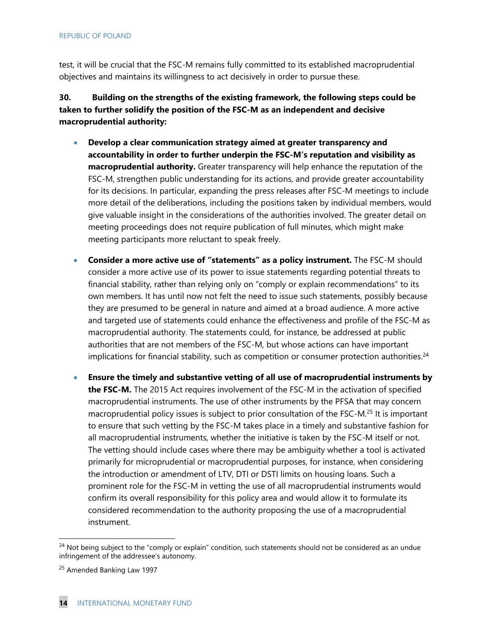test, it will be crucial that the FSC-M remains fully committed to its established macroprudential objectives and maintains its willingness to act decisively in order to pursue these.

**30. Building on the strengths of the existing framework, the following steps could be taken to further solidify the position of the FSC-M as an independent and decisive macroprudential authority:** 

- **Develop a clear communication strategy aimed at greater transparency and accountability in order to further underpin the FSC-M's reputation and visibility as macroprudential authority.** Greater transparency will help enhance the reputation of the FSC-M, strengthen public understanding for its actions, and provide greater accountability for its decisions. In particular, expanding the press releases after FSC-M meetings to include more detail of the deliberations, including the positions taken by individual members, would give valuable insight in the considerations of the authorities involved. The greater detail on meeting proceedings does not require publication of full minutes, which might make meeting participants more reluctant to speak freely.
- **Consider a more active use of "statements" as a policy instrument.** The FSC-M should consider a more active use of its power to issue statements regarding potential threats to financial stability, rather than relying only on "comply or explain recommendations" to its own members. It has until now not felt the need to issue such statements, possibly because they are presumed to be general in nature and aimed at a broad audience. A more active and targeted use of statements could enhance the effectiveness and profile of the FSC-M as macroprudential authority. The statements could, for instance, be addressed at public authorities that are not members of the FSC-M, but whose actions can have important implications for financial stability, such as competition or consumer protection authorities.<sup>24</sup>
- **Ensure the timely and substantive vetting of all use of macroprudential instruments by the FSC-M.** The 2015 Act requires involvement of the FSC-M in the activation of specified macroprudential instruments. The use of other instruments by the PFSA that may concern macroprudential policy issues is subject to prior consultation of the FSC-M.25 It is important to ensure that such vetting by the FSC-M takes place in a timely and substantive fashion for all macroprudential instruments, whether the initiative is taken by the FSC-M itself or not. The vetting should include cases where there may be ambiguity whether a tool is activated primarily for microprudential or macroprudential purposes, for instance, when considering the introduction or amendment of LTV, DTI or DSTI limits on housing loans. Such a prominent role for the FSC-M in vetting the use of all macroprudential instruments would confirm its overall responsibility for this policy area and would allow it to formulate its considered recommendation to the authority proposing the use of a macroprudential instrument.

<sup>&</sup>lt;sup>24</sup> Not being subject to the "comply or explain" condition, such statements should not be considered as an undue infringement of the addressee's autonomy.

<sup>&</sup>lt;sup>25</sup> Amended Banking Law 1997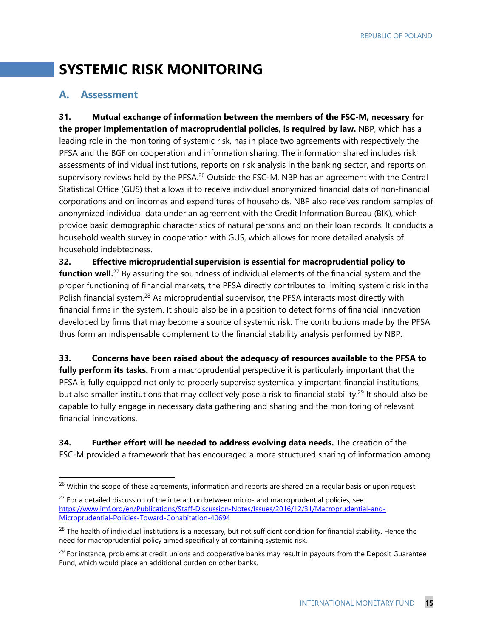## **SYSTEMIC RISK MONITORING**

#### **A. Assessment**

-

**31. Mutual exchange of information between the members of the FSC-M, necessary for the proper implementation of macroprudential policies, is required by law.** NBP, which has a leading role in the monitoring of systemic risk, has in place two agreements with respectively the PFSA and the BGF on cooperation and information sharing. The information shared includes risk assessments of individual institutions, reports on risk analysis in the banking sector, and reports on supervisory reviews held by the PFSA.<sup>26</sup> Outside the FSC-M, NBP has an agreement with the Central Statistical Office (GUS) that allows it to receive individual anonymized financial data of non-financial corporations and on incomes and expenditures of households. NBP also receives random samples of anonymized individual data under an agreement with the Credit Information Bureau (BIK), which provide basic demographic characteristics of natural persons and on their loan records. It conducts a household wealth survey in cooperation with GUS, which allows for more detailed analysis of household indebtedness.

**32. Effective microprudential supervision is essential for macroprudential policy to function well.**<sup>27</sup> By assuring the soundness of individual elements of the financial system and the proper functioning of financial markets, the PFSA directly contributes to limiting systemic risk in the Polish financial system.<sup>28</sup> As microprudential supervisor, the PFSA interacts most directly with financial firms in the system. It should also be in a position to detect forms of financial innovation developed by firms that may become a source of systemic risk. The contributions made by the PFSA thus form an indispensable complement to the financial stability analysis performed by NBP.

**33. Concerns have been raised about the adequacy of resources available to the PFSA to fully perform its tasks.** From a macroprudential perspective it is particularly important that the PFSA is fully equipped not only to properly supervise systemically important financial institutions, but also smaller institutions that may collectively pose a risk to financial stability.<sup>29</sup> It should also be capable to fully engage in necessary data gathering and sharing and the monitoring of relevant financial innovations.

**34. Further effort will be needed to address evolving data needs.** The creation of the FSC-M provided a framework that has encouraged a more structured sharing of information among

<sup>&</sup>lt;sup>26</sup> Within the scope of these agreements, information and reports are shared on a regular basis or upon request.

 $27$  For a detailed discussion of the interaction between micro- and macroprudential policies, see: https://www.imf.org/en/Publications/Staff-Discussion-Notes/Issues/2016/12/31/Macroprudential-and-Microprudential-Policies-Toward-Cohabitation-40694

<sup>&</sup>lt;sup>28</sup> The health of individual institutions is a necessary, but not sufficient condition for financial stability. Hence the need for macroprudential policy aimed specifically at containing systemic risk.

<sup>&</sup>lt;sup>29</sup> For instance, problems at credit unions and cooperative banks may result in payouts from the Deposit Guarantee Fund, which would place an additional burden on other banks.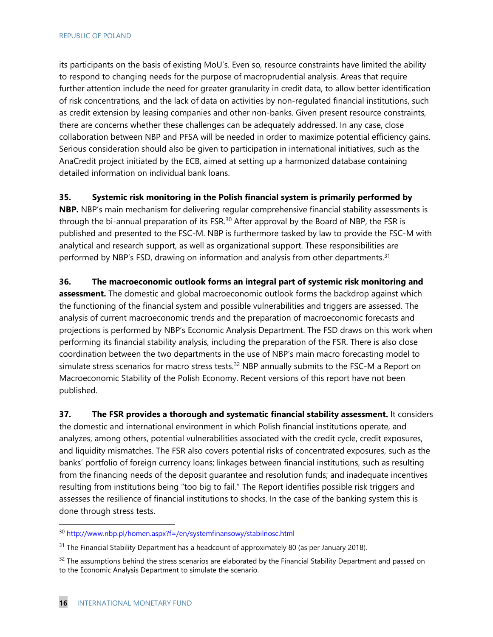its participants on the basis of existing MoU's. Even so, resource constraints have limited the ability to respond to changing needs for the purpose of macroprudential analysis. Areas that require further attention include the need for greater granularity in credit data, to allow better identification of risk concentrations, and the lack of data on activities by non-regulated financial institutions, such as credit extension by leasing companies and other non-banks. Given present resource constraints, there are concerns whether these challenges can be adequately addressed. In any case, close collaboration between NBP and PFSA will be needed in order to maximize potential efficiency gains. Serious consideration should also be given to participation in international initiatives, such as the AnaCredit project initiated by the ECB, aimed at setting up a harmonized database containing detailed information on individual bank loans.

**35. Systemic risk monitoring in the Polish financial system is primarily performed by** 

**NBP.** NBP's main mechanism for delivering regular comprehensive financial stability assessments is through the bi-annual preparation of its FSR.<sup>30</sup> After approval by the Board of NBP, the FSR is published and presented to the FSC-M. NBP is furthermore tasked by law to provide the FSC-M with analytical and research support, as well as organizational support. These responsibilities are performed by NBP's FSD, drawing on information and analysis from other departments.<sup>31</sup>

**36. The macroeconomic outlook forms an integral part of systemic risk monitoring and assessment.** The domestic and global macroeconomic outlook forms the backdrop against which the functioning of the financial system and possible vulnerabilities and triggers are assessed. The analysis of current macroeconomic trends and the preparation of macroeconomic forecasts and projections is performed by NBP's Economic Analysis Department. The FSD draws on this work when performing its financial stability analysis, including the preparation of the FSR. There is also close coordination between the two departments in the use of NBP's main macro forecasting model to simulate stress scenarios for macro stress tests.<sup>32</sup> NBP annually submits to the FSC-M a Report on Macroeconomic Stability of the Polish Economy. Recent versions of this report have not been published.

**37. The FSR provides a thorough and systematic financial stability assessment.** It considers the domestic and international environment in which Polish financial institutions operate, and analyzes, among others, potential vulnerabilities associated with the credit cycle, credit exposures, and liquidity mismatches. The FSR also covers potential risks of concentrated exposures, such as the banks' portfolio of foreign currency loans; linkages between financial institutions, such as resulting from the financing needs of the deposit guarantee and resolution funds; and inadequate incentives resulting from institutions being "too big to fail." The Report identifies possible risk triggers and assesses the resilience of financial institutions to shocks. In the case of the banking system this is done through stress tests.

<sup>&</sup>lt;sup>30</sup> http://www.nbp.pl/homen.aspx?f=/en/systemfinansowy/stabilnosc.html

<sup>&</sup>lt;sup>31</sup> The Financial Stability Department has a headcount of approximately 80 (as per January 2018).

 $32$  The assumptions behind the stress scenarios are elaborated by the Financial Stability Department and passed on to the Economic Analysis Department to simulate the scenario.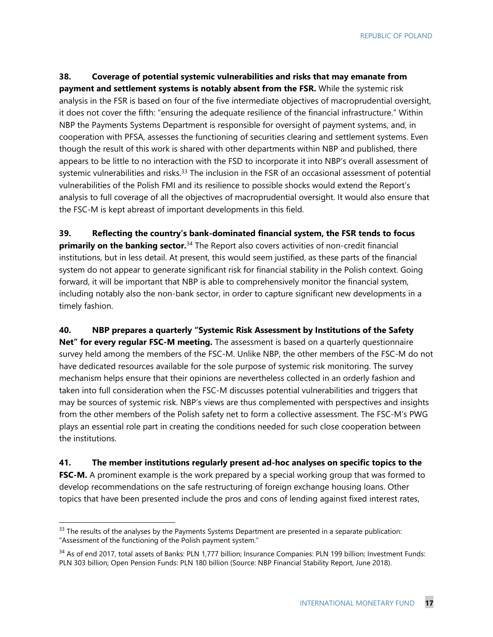REPUBLIC OF POLAND

**38. Coverage of potential systemic vulnerabilities and risks that may emanate from payment and settlement systems is notably absent from the FSR.** While the systemic risk analysis in the FSR is based on four of the five intermediate objectives of macroprudential oversight, it does not cover the fifth: "ensuring the adequate resilience of the financial infrastructure." Within NBP the Payments Systems Department is responsible for oversight of payment systems, and, in cooperation with PFSA, assesses the functioning of securities clearing and settlement systems. Even though the result of this work is shared with other departments within NBP and published, there appears to be little to no interaction with the FSD to incorporate it into NBP's overall assessment of systemic vulnerabilities and risks.<sup>33</sup> The inclusion in the FSR of an occasional assessment of potential vulnerabilities of the Polish FMI and its resilience to possible shocks would extend the Report's analysis to full coverage of all the objectives of macroprudential oversight. It would also ensure that the FSC-M is kept abreast of important developments in this field.

**39. Reflecting the country's bank-dominated financial system, the FSR tends to focus primarily on the banking sector.**34 The Report also covers activities of non-credit financial institutions, but in less detail. At present, this would seem justified, as these parts of the financial system do not appear to generate significant risk for financial stability in the Polish context. Going forward, it will be important that NBP is able to comprehensively monitor the financial system, including notably also the non-bank sector, in order to capture significant new developments in a timely fashion.

**40. NBP prepares a quarterly "Systemic Risk Assessment by Institutions of the Safety Net" for every regular FSC-M meeting.** The assessment is based on a quarterly questionnaire survey held among the members of the FSC-M. Unlike NBP, the other members of the FSC-M do not have dedicated resources available for the sole purpose of systemic risk monitoring. The survey mechanism helps ensure that their opinions are nevertheless collected in an orderly fashion and taken into full consideration when the FSC-M discusses potential vulnerabilities and triggers that may be sources of systemic risk. NBP's views are thus complemented with perspectives and insights

from the other members of the Polish safety net to form a collective assessment. The FSC-M's PWG plays an essential role part in creating the conditions needed for such close cooperation between the institutions.

**41. The member institutions regularly present ad-hoc analyses on specific topics to the FSC-M.** A prominent example is the work prepared by a special working group that was formed to develop recommendations on the safe restructuring of foreign exchange housing loans. Other topics that have been presented include the pros and cons of lending against fixed interest rates,

1

<sup>&</sup>lt;sup>33</sup> The results of the analyses by the Payments Systems Department are presented in a separate publication: "Assessment of the functioning of the Polish payment system."

<sup>&</sup>lt;sup>34</sup> As of end 2017, total assets of Banks: PLN 1,777 billion; Insurance Companies: PLN 199 billion; Investment Funds: PLN 303 billion; Open Pension Funds: PLN 180 billion (Source: NBP Financial Stability Report, June 2018).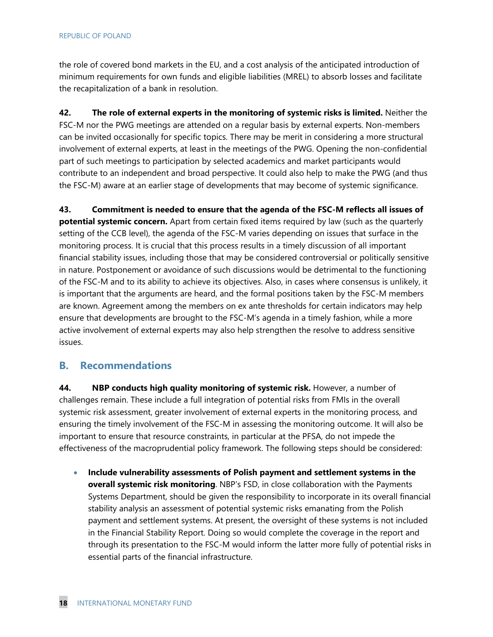#### REPUBLIC OF POLAND

the role of covered bond markets in the EU, and a cost analysis of the anticipated introduction of minimum requirements for own funds and eligible liabilities (MREL) to absorb losses and facilitate the recapitalization of a bank in resolution.

**42. The role of external experts in the monitoring of systemic risks is limited.** Neither the FSC-M nor the PWG meetings are attended on a regular basis by external experts. Non-members can be invited occasionally for specific topics. There may be merit in considering a more structural involvement of external experts, at least in the meetings of the PWG. Opening the non-confidential part of such meetings to participation by selected academics and market participants would contribute to an independent and broad perspective. It could also help to make the PWG (and thus the FSC-M) aware at an earlier stage of developments that may become of systemic significance.

**43. Commitment is needed to ensure that the agenda of the FSC-M reflects all issues of potential systemic concern.** Apart from certain fixed items required by law (such as the quarterly setting of the CCB level), the agenda of the FSC-M varies depending on issues that surface in the monitoring process. It is crucial that this process results in a timely discussion of all important financial stability issues, including those that may be considered controversial or politically sensitive in nature. Postponement or avoidance of such discussions would be detrimental to the functioning of the FSC-M and to its ability to achieve its objectives. Also, in cases where consensus is unlikely, it is important that the arguments are heard, and the formal positions taken by the FSC-M members are known. Agreement among the members on ex ante thresholds for certain indicators may help ensure that developments are brought to the FSC-M's agenda in a timely fashion, while a more active involvement of external experts may also help strengthen the resolve to address sensitive issues.

#### **B. Recommendations**

**44. NBP conducts high quality monitoring of systemic risk.** However, a number of challenges remain. These include a full integration of potential risks from FMIs in the overall systemic risk assessment, greater involvement of external experts in the monitoring process, and ensuring the timely involvement of the FSC-M in assessing the monitoring outcome. It will also be important to ensure that resource constraints, in particular at the PFSA, do not impede the effectiveness of the macroprudential policy framework. The following steps should be considered:

 **Include vulnerability assessments of Polish payment and settlement systems in the overall systemic risk monitoring**. NBP's FSD, in close collaboration with the Payments Systems Department, should be given the responsibility to incorporate in its overall financial stability analysis an assessment of potential systemic risks emanating from the Polish payment and settlement systems. At present, the oversight of these systems is not included in the Financial Stability Report. Doing so would complete the coverage in the report and through its presentation to the FSC-M would inform the latter more fully of potential risks in essential parts of the financial infrastructure.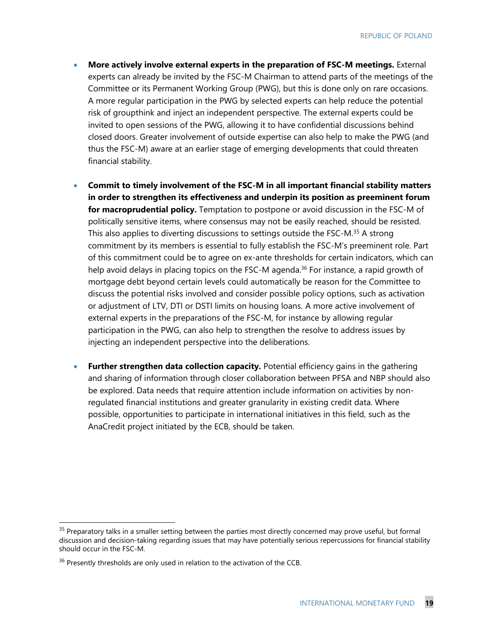- **More actively involve external experts in the preparation of FSC-M meetings.** External experts can already be invited by the FSC-M Chairman to attend parts of the meetings of the Committee or its Permanent Working Group (PWG), but this is done only on rare occasions. A more regular participation in the PWG by selected experts can help reduce the potential risk of groupthink and inject an independent perspective. The external experts could be invited to open sessions of the PWG, allowing it to have confidential discussions behind closed doors. Greater involvement of outside expertise can also help to make the PWG (and thus the FSC-M) aware at an earlier stage of emerging developments that could threaten financial stability.
- **Commit to timely involvement of the FSC-M in all important financial stability matters in order to strengthen its effectiveness and underpin its position as preeminent forum for macroprudential policy.** Temptation to postpone or avoid discussion in the FSC-M of politically sensitive items, where consensus may not be easily reached, should be resisted. This also applies to diverting discussions to settings outside the FSC-M.<sup>35</sup> A strong commitment by its members is essential to fully establish the FSC-M's preeminent role. Part of this commitment could be to agree on ex-ante thresholds for certain indicators, which can help avoid delays in placing topics on the FSC-M agenda.<sup>36</sup> For instance, a rapid growth of mortgage debt beyond certain levels could automatically be reason for the Committee to discuss the potential risks involved and consider possible policy options, such as activation or adjustment of LTV, DTI or DSTI limits on housing loans. A more active involvement of external experts in the preparations of the FSC-M, for instance by allowing regular participation in the PWG, can also help to strengthen the resolve to address issues by injecting an independent perspective into the deliberations.
- **Further strengthen data collection capacity.** Potential efficiency gains in the gathering and sharing of information through closer collaboration between PFSA and NBP should also be explored. Data needs that require attention include information on activities by nonregulated financial institutions and greater granularity in existing credit data. Where possible, opportunities to participate in international initiatives in this field, such as the AnaCredit project initiated by the ECB, should be taken.

<sup>&</sup>lt;sup>35</sup> Preparatory talks in a smaller setting between the parties most directly concerned may prove useful, but formal discussion and decision-taking regarding issues that may have potentially serious repercussions for financial stability should occur in the FSC-M.

<sup>&</sup>lt;sup>36</sup> Presently thresholds are only used in relation to the activation of the CCB.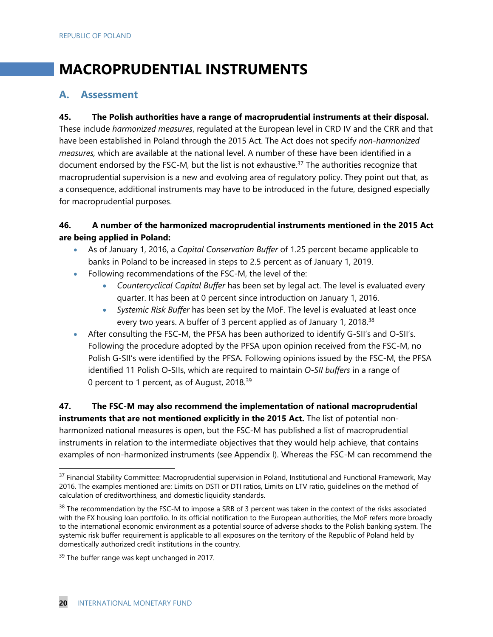## **MACROPRUDENTIAL INSTRUMENTS**

#### **A. Assessment**

#### **45. The Polish authorities have a range of macroprudential instruments at their disposal.**

These include *harmonized measures*, regulated at the European level in CRD IV and the CRR and that have been established in Poland through the 2015 Act. The Act does not specify *non-harmonized measures,* which are available at the national level. A number of these have been identified in a document endorsed by the FSC-M, but the list is not exhaustive.<sup>37</sup> The authorities recognize that macroprudential supervision is a new and evolving area of regulatory policy. They point out that, as a consequence, additional instruments may have to be introduced in the future, designed especially for macroprudential purposes.

#### **46. A number of the harmonized macroprudential instruments mentioned in the 2015 Act are being applied in Poland:**

- As of January 1, 2016, a *Capital Conservation Buffer* of 1.25 percent became applicable to banks in Poland to be increased in steps to 2.5 percent as of January 1, 2019.
- Following recommendations of the FSC-M, the level of the:
	- *Countercyclical Capital Buffer* has been set by legal act. The level is evaluated every quarter. It has been at 0 percent since introduction on January 1, 2016.
	- *Systemic Risk Buffer* has been set by the MoF. The level is evaluated at least once every two years. A buffer of 3 percent applied as of January 1, 2018.<sup>38</sup>
- After consulting the FSC-M, the PFSA has been authorized to identify G-SII's and O-SII's. Following the procedure adopted by the PFSA upon opinion received from the FSC-M, no Polish G-SII's were identified by the PFSA. Following opinions issued by the FSC-M, the PFSA identified 11 Polish O-SIIs, which are required to maintain *O-SII buffers* in a range of 0 percent to 1 percent, as of August, 2018.39

#### **47. The FSC-M may also recommend the implementation of national macroprudential instruments that are not mentioned explicitly in the 2015 Act.** The list of potential nonharmonized national measures is open, but the FSC-M has published a list of macroprudential instruments in relation to the intermediate objectives that they would help achieve, that contains examples of non-harmonized instruments (see Appendix I). Whereas the FSC-M can recommend the

 $37$  Financial Stability Committee: Macroprudential supervision in Poland, Institutional and Functional Framework, May 2016. The examples mentioned are: Limits on DSTI or DTI ratios, Limits on LTV ratio, guidelines on the method of calculation of creditworthiness, and domestic liquidity standards.

<sup>&</sup>lt;sup>38</sup> The recommendation by the FSC-M to impose a SRB of 3 percent was taken in the context of the risks associated with the FX housing loan portfolio. In its official notification to the European authorities, the MoF refers more broadly to the international economic environment as a potential source of adverse shocks to the Polish banking system. The systemic risk buffer requirement is applicable to all exposures on the territory of the Republic of Poland held by domestically authorized credit institutions in the country.

<sup>&</sup>lt;sup>39</sup> The buffer range was kept unchanged in 2017.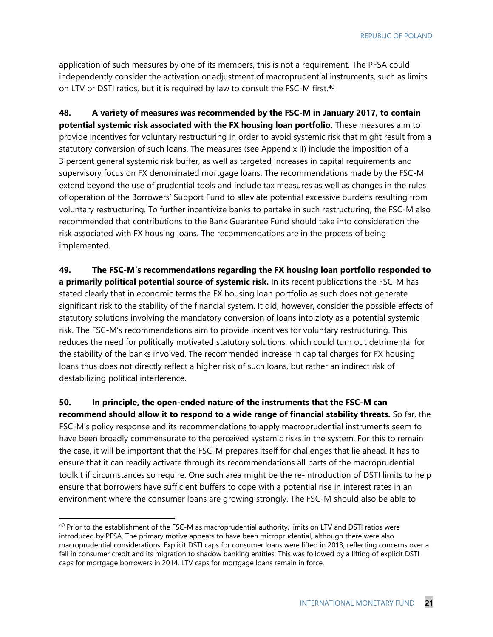application of such measures by one of its members, this is not a requirement. The PFSA could independently consider the activation or adjustment of macroprudential instruments, such as limits on LTV or DSTI ratios, but it is required by law to consult the FSC-M first.<sup>40</sup>

**48. A variety of measures was recommended by the FSC-M in January 2017, to contain potential systemic risk associated with the FX housing loan portfolio.** These measures aim to provide incentives for voluntary restructuring in order to avoid systemic risk that might result from a statutory conversion of such loans. The measures (see Appendix II) include the imposition of a 3 percent general systemic risk buffer, as well as targeted increases in capital requirements and supervisory focus on FX denominated mortgage loans. The recommendations made by the FSC-M extend beyond the use of prudential tools and include tax measures as well as changes in the rules of operation of the Borrowers' Support Fund to alleviate potential excessive burdens resulting from voluntary restructuring. To further incentivize banks to partake in such restructuring, the FSC-M also recommended that contributions to the Bank Guarantee Fund should take into consideration the risk associated with FX housing loans. The recommendations are in the process of being implemented.

**49. The FSC-M's recommendations regarding the FX housing loan portfolio responded to a primarily political potential source of systemic risk.** In its recent publications the FSC-M has stated clearly that in economic terms the FX housing loan portfolio as such does not generate significant risk to the stability of the financial system. It did, however, consider the possible effects of statutory solutions involving the mandatory conversion of loans into zloty as a potential systemic risk. The FSC-M's recommendations aim to provide incentives for voluntary restructuring. This reduces the need for politically motivated statutory solutions, which could turn out detrimental for the stability of the banks involved. The recommended increase in capital charges for FX housing loans thus does not directly reflect a higher risk of such loans, but rather an indirect risk of destabilizing political interference.

**50. In principle, the open-ended nature of the instruments that the FSC-M can recommend should allow it to respond to a wide range of financial stability threats.** So far, the FSC-M's policy response and its recommendations to apply macroprudential instruments seem to have been broadly commensurate to the perceived systemic risks in the system. For this to remain the case, it will be important that the FSC-M prepares itself for challenges that lie ahead. It has to ensure that it can readily activate through its recommendations all parts of the macroprudential toolkit if circumstances so require. One such area might be the re-introduction of DSTI limits to help ensure that borrowers have sufficient buffers to cope with a potential rise in interest rates in an environment where the consumer loans are growing strongly. The FSC-M should also be able to

<sup>&</sup>lt;sup>40</sup> Prior to the establishment of the FSC-M as macroprudential authority, limits on LTV and DSTI ratios were introduced by PFSA. The primary motive appears to have been microprudential, although there were also macroprudential considerations. Explicit DSTI caps for consumer loans were lifted in 2013, reflecting concerns over a fall in consumer credit and its migration to shadow banking entities. This was followed by a lifting of explicit DSTI caps for mortgage borrowers in 2014. LTV caps for mortgage loans remain in force.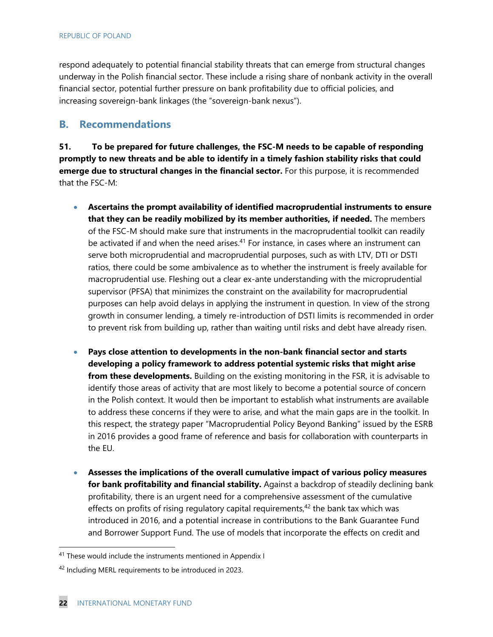respond adequately to potential financial stability threats that can emerge from structural changes underway in the Polish financial sector. These include a rising share of nonbank activity in the overall financial sector, potential further pressure on bank profitability due to official policies, and increasing sovereign-bank linkages (the "sovereign-bank nexus").

#### **B. Recommendations**

**51. To be prepared for future challenges, the FSC-M needs to be capable of responding promptly to new threats and be able to identify in a timely fashion stability risks that could emerge due to structural changes in the financial sector.** For this purpose, it is recommended that the FSC-M:

- **Ascertains the prompt availability of identified macroprudential instruments to ensure that they can be readily mobilized by its member authorities, if needed.** The members of the FSC-M should make sure that instruments in the macroprudential toolkit can readily be activated if and when the need arises.<sup>41</sup> For instance, in cases where an instrument can serve both microprudential and macroprudential purposes, such as with LTV, DTI or DSTI ratios, there could be some ambivalence as to whether the instrument is freely available for macroprudential use. Fleshing out a clear ex-ante understanding with the microprudential supervisor (PFSA) that minimizes the constraint on the availability for macroprudential purposes can help avoid delays in applying the instrument in question. In view of the strong growth in consumer lending, a timely re-introduction of DSTI limits is recommended in order to prevent risk from building up, rather than waiting until risks and debt have already risen.
- **Pays close attention to developments in the non-bank financial sector and starts developing a policy framework to address potential systemic risks that might arise from these developments.** Building on the existing monitoring in the FSR, it is advisable to identify those areas of activity that are most likely to become a potential source of concern in the Polish context. It would then be important to establish what instruments are available to address these concerns if they were to arise, and what the main gaps are in the toolkit. In this respect, the strategy paper "Macroprudential Policy Beyond Banking" issued by the ESRB in 2016 provides a good frame of reference and basis for collaboration with counterparts in the EU.
- **Assesses the implications of the overall cumulative impact of various policy measures for bank profitability and financial stability.** Against a backdrop of steadily declining bank profitability, there is an urgent need for a comprehensive assessment of the cumulative effects on profits of rising regulatory capital requirements, $42$  the bank tax which was introduced in 2016, and a potential increase in contributions to the Bank Guarantee Fund and Borrower Support Fund. The use of models that incorporate the effects on credit and

<sup>&</sup>lt;sup>41</sup> These would include the instruments mentioned in Appendix I

<sup>42</sup> Including MERL requirements to be introduced in 2023.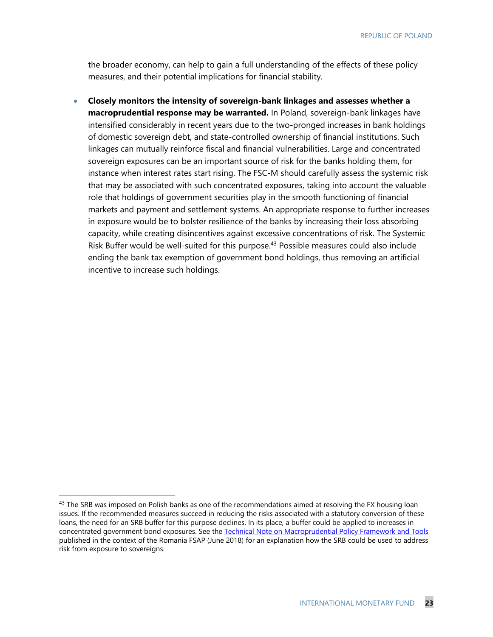the broader economy, can help to gain a full understanding of the effects of these policy measures, and their potential implications for financial stability.

 **Closely monitors the intensity of sovereign-bank linkages and assesses whether a macroprudential response may be warranted.** In Poland, sovereign-bank linkages have intensified considerably in recent years due to the two-pronged increases in bank holdings of domestic sovereign debt, and state-controlled ownership of financial institutions. Such linkages can mutually reinforce fiscal and financial vulnerabilities. Large and concentrated sovereign exposures can be an important source of risk for the banks holding them, for instance when interest rates start rising. The FSC-M should carefully assess the systemic risk that may be associated with such concentrated exposures, taking into account the valuable role that holdings of government securities play in the smooth functioning of financial markets and payment and settlement systems. An appropriate response to further increases in exposure would be to bolster resilience of the banks by increasing their loss absorbing capacity, while creating disincentives against excessive concentrations of risk. The Systemic Risk Buffer would be well-suited for this purpose.<sup>43</sup> Possible measures could also include ending the bank tax exemption of government bond holdings, thus removing an artificial incentive to increase such holdings.

<sup>&</sup>lt;sup>43</sup> The SRB was imposed on Polish banks as one of the recommendations aimed at resolving the FX housing loan issues. If the recommended measures succeed in reducing the risks associated with a statutory conversion of these loans, the need for an SRB buffer for this purpose declines. In its place, a buffer could be applied to increases in concentrated government bond exposures. See the Technical Note on Macroprudential Policy Framework and Tools published in the context of the Romania FSAP (June 2018) for an explanation how the SRB could be used to address risk from exposure to sovereigns.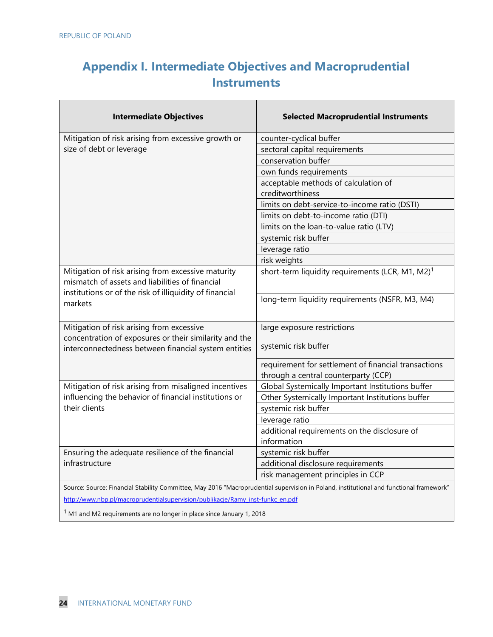### **Appendix I. Intermediate Objectives and Macroprudential Instruments**

| <b>Intermediate Objectives</b>                                                                                                                                   | <b>Selected Macroprudential Instruments</b>                                                                                             |
|------------------------------------------------------------------------------------------------------------------------------------------------------------------|-----------------------------------------------------------------------------------------------------------------------------------------|
| Mitigation of risk arising from excessive growth or                                                                                                              | counter-cyclical buffer                                                                                                                 |
| size of debt or leverage                                                                                                                                         | sectoral capital requirements                                                                                                           |
|                                                                                                                                                                  | conservation buffer                                                                                                                     |
|                                                                                                                                                                  | own funds requirements                                                                                                                  |
|                                                                                                                                                                  | acceptable methods of calculation of                                                                                                    |
|                                                                                                                                                                  | creditworthiness                                                                                                                        |
|                                                                                                                                                                  | limits on debt-service-to-income ratio (DSTI)                                                                                           |
|                                                                                                                                                                  | limits on debt-to-income ratio (DTI)                                                                                                    |
|                                                                                                                                                                  | limits on the loan-to-value ratio (LTV)                                                                                                 |
|                                                                                                                                                                  | systemic risk buffer                                                                                                                    |
|                                                                                                                                                                  | leverage ratio                                                                                                                          |
|                                                                                                                                                                  | risk weights                                                                                                                            |
| Mitigation of risk arising from excessive maturity<br>mismatch of assets and liabilities of financial<br>institutions or of the risk of illiquidity of financial | short-term liquidity requirements (LCR, M1, M2) <sup>1</sup>                                                                            |
| markets                                                                                                                                                          | long-term liquidity requirements (NSFR, M3, M4)                                                                                         |
| Mitigation of risk arising from excessive<br>concentration of exposures or their similarity and the                                                              | large exposure restrictions                                                                                                             |
| interconnectedness between financial system entities                                                                                                             | systemic risk buffer                                                                                                                    |
|                                                                                                                                                                  | requirement for settlement of financial transactions<br>through a central counterparty (CCP)                                            |
| Mitigation of risk arising from misaligned incentives                                                                                                            | Global Systemically Important Institutions buffer                                                                                       |
| influencing the behavior of financial institutions or                                                                                                            | Other Systemically Important Institutions buffer                                                                                        |
| their clients                                                                                                                                                    | systemic risk buffer                                                                                                                    |
|                                                                                                                                                                  | leverage ratio                                                                                                                          |
|                                                                                                                                                                  | additional requirements on the disclosure of                                                                                            |
|                                                                                                                                                                  | information                                                                                                                             |
| Ensuring the adequate resilience of the financial                                                                                                                | systemic risk buffer                                                                                                                    |
| infrastructure                                                                                                                                                   | additional disclosure requirements                                                                                                      |
|                                                                                                                                                                  | risk management principles in CCP                                                                                                       |
|                                                                                                                                                                  | Source: Source: Financial Stability Committee, May 2016 "Macroprudential supervision in Poland, institutional and functional framework" |
| http://www.nbp.pl/macroprudentialsupervision/publikacje/Ramy_inst-funkc_en.pdf                                                                                   |                                                                                                                                         |

 $1$  M1 and M2 requirements are no longer in place since January 1, 2018